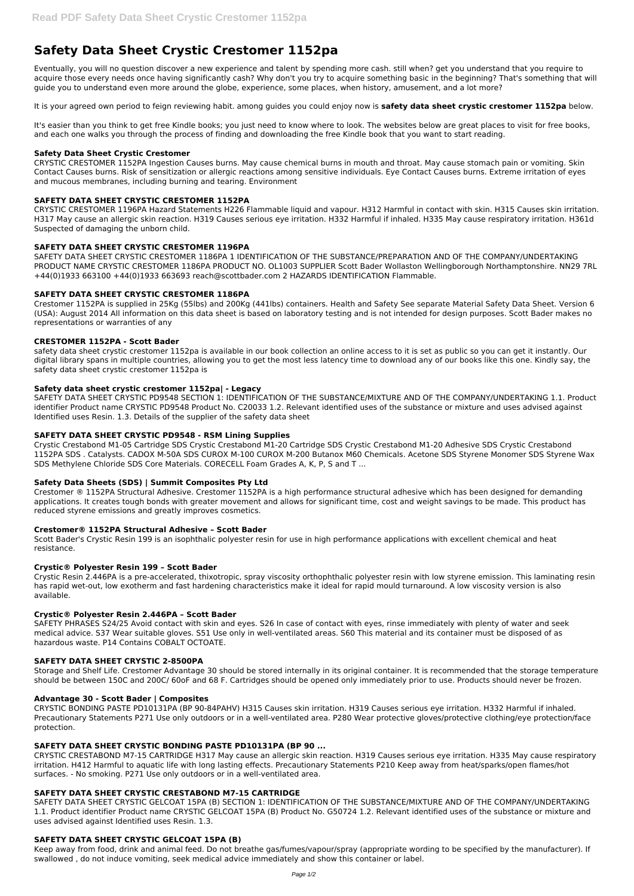# **Safety Data Sheet Crystic Crestomer 1152pa**

Eventually, you will no question discover a new experience and talent by spending more cash. still when? get you understand that you require to acquire those every needs once having significantly cash? Why don't you try to acquire something basic in the beginning? That's something that will guide you to understand even more around the globe, experience, some places, when history, amusement, and a lot more?

It's easier than you think to get free Kindle books; you just need to know where to look. The websites below are great places to visit for free books, and each one walks you through the process of finding and downloading the free Kindle book that you want to start reading.

It is your agreed own period to feign reviewing habit. among guides you could enjoy now is **safety data sheet crystic crestomer 1152pa** below.

# **Safety Data Sheet Crystic Crestomer**

CRYSTIC CRESTOMER 1152PA Ingestion Causes burns. May cause chemical burns in mouth and throat. May cause stomach pain or vomiting. Skin Contact Causes burns. Risk of sensitization or allergic reactions among sensitive individuals. Eye Contact Causes burns. Extreme irritation of eyes and mucous membranes, including burning and tearing. Environment

# **SAFETY DATA SHEET CRYSTIC CRESTOMER 1152PA**

CRYSTIC CRESTOMER 1196PA Hazard Statements H226 Flammable liquid and vapour. H312 Harmful in contact with skin. H315 Causes skin irritation. H317 May cause an allergic skin reaction. H319 Causes serious eye irritation. H332 Harmful if inhaled. H335 May cause respiratory irritation. H361d Suspected of damaging the unborn child.

# **SAFETY DATA SHEET CRYSTIC CRESTOMER 1196PA**

SAFETY DATA SHEET CRYSTIC CRESTOMER 1186PA 1 IDENTIFICATION OF THE SUBSTANCE/PREPARATION AND OF THE COMPANY/UNDERTAKING PRODUCT NAME CRYSTIC CRESTOMER 1186PA PRODUCT NO. OL1003 SUPPLIER Scott Bader Wollaston Wellingborough Northamptonshire. NN29 7RL +44(0)1933 663100 +44(0)1933 663693 reach@scottbader.com 2 HAZARDS IDENTIFICATION Flammable.

# **SAFETY DATA SHEET CRYSTIC CRESTOMER 1186PA**

Crestomer 1152PA is supplied in 25Kg (55lbs) and 200Kg (441lbs) containers. Health and Safety See separate Material Safety Data Sheet. Version 6 (USA): August 2014 All information on this data sheet is based on laboratory testing and is not intended for design purposes. Scott Bader makes no representations or warranties of any

#### **CRESTOMER 1152PA - Scott Bader**

safety data sheet crystic crestomer 1152pa is available in our book collection an online access to it is set as public so you can get it instantly. Our digital library spans in multiple countries, allowing you to get the most less latency time to download any of our books like this one. Kindly say, the safety data sheet crystic crestomer 1152pa is

#### **Safety data sheet crystic crestomer 1152pa| - Legacy**

SAFETY DATA SHEET CRYSTIC PD9548 SECTION 1: IDENTIFICATION OF THE SUBSTANCE/MIXTURE AND OF THE COMPANY/UNDERTAKING 1.1. Product identifier Product name CRYSTIC PD9548 Product No. C20033 1.2. Relevant identified uses of the substance or mixture and uses advised against Identified uses Resin. 1.3. Details of the supplier of the safety data sheet

# **SAFETY DATA SHEET CRYSTIC PD9548 - RSM Lining Supplies**

Crystic Crestabond M1-05 Cartridge SDS Crystic Crestabond M1-20 Cartridge SDS Crystic Crestabond M1-20 Adhesive SDS Crystic Crestabond 1152PA SDS . Catalysts. CADOX M-50A SDS CUROX M-100 CUROX M-200 Butanox M60 Chemicals. Acetone SDS Styrene Monomer SDS Styrene Wax SDS Methylene Chloride SDS Core Materials. CORECELL Foam Grades A, K, P, S and T ...

# **Safety Data Sheets (SDS) | Summit Composites Pty Ltd**

Crestomer ® 1152PA Structural Adhesive. Crestomer 1152PA is a high performance structural adhesive which has been designed for demanding applications. It creates tough bonds with greater movement and allows for significant time, cost and weight savings to be made. This product has reduced styrene emissions and greatly improves cosmetics.

#### **Crestomer® 1152PA Structural Adhesive – Scott Bader**

Scott Bader's Crystic Resin 199 is an isophthalic polyester resin for use in high performance applications with excellent chemical and heat resistance.

#### **Crystic® Polyester Resin 199 – Scott Bader**

Crystic Resin 2.446PA is a pre-accelerated, thixotropic, spray viscosity orthophthalic polyester resin with low styrene emission. This laminating resin has rapid wet-out, low exotherm and fast hardening characteristics make it ideal for rapid mould turnaround. A low viscosity version is also available.

#### **Crystic® Polyester Resin 2.446PA – Scott Bader**

SAFETY PHRASES S24/25 Avoid contact with skin and eyes. S26 In case of contact with eyes, rinse immediately with plenty of water and seek medical advice. S37 Wear suitable gloves. S51 Use only in well-ventilated areas. S60 This material and its container must be disposed of as hazardous waste. P14 Contains COBALT OCTOATE.

#### **SAFETY DATA SHEET CRYSTIC 2-8500PA**

Storage and Shelf Life. Crestomer Advantage 30 should be stored internally in its original container. It is recommended that the storage temperature

should be between 150C and 200C/ 60oF and 68 F. Cartridges should be opened only immediately prior to use. Products should never be frozen.

#### **Advantage 30 - Scott Bader | Composites**

CRYSTIC BONDING PASTE PD10131PA (BP 90-84PAHV) H315 Causes skin irritation. H319 Causes serious eye irritation. H332 Harmful if inhaled. Precautionary Statements P271 Use only outdoors or in a well-ventilated area. P280 Wear protective gloves/protective clothing/eye protection/face protection.

# **SAFETY DATA SHEET CRYSTIC BONDING PASTE PD10131PA (BP 90 ...**

CRYSTIC CRESTABOND M7-15 CARTRIDGE H317 May cause an allergic skin reaction. H319 Causes serious eye irritation. H335 May cause respiratory irritation. H412 Harmful to aquatic life with long lasting effects. Precautionary Statements P210 Keep away from heat/sparks/open flames/hot surfaces. - No smoking. P271 Use only outdoors or in a well-ventilated area.

# **SAFETY DATA SHEET CRYSTIC CRESTABOND M7-15 CARTRIDGE**

SAFETY DATA SHEET CRYSTIC GELCOAT 15PA (B) SECTION 1: IDENTIFICATION OF THE SUBSTANCE/MIXTURE AND OF THE COMPANY/UNDERTAKING 1.1. Product identifier Product name CRYSTIC GELCOAT 15PA (B) Product No. G50724 1.2. Relevant identified uses of the substance or mixture and uses advised against Identified uses Resin. 1.3.

# **SAFETY DATA SHEET CRYSTIC GELCOAT 15PA (B)**

Keep away from food, drink and animal feed. Do not breathe gas/fumes/vapour/spray (appropriate wording to be specified by the manufacturer). If swallowed , do not induce vomiting, seek medical advice immediately and show this container or label.